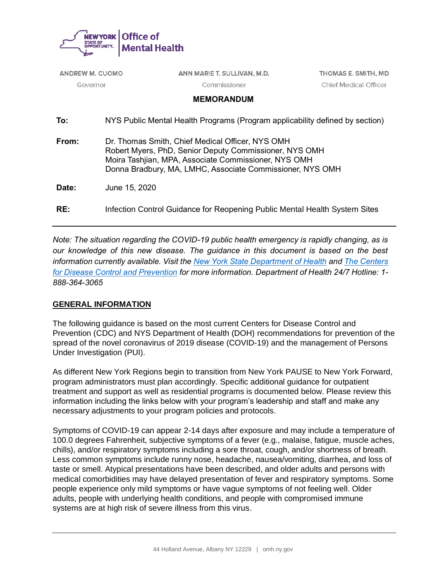

| <b>ANDREW M. CUOMO</b> |  | ANN MARIE T. SULLIVAN, M.D.                                                                                                                                                                                                     | THOMAS E. SMITH, MD   |  |
|------------------------|--|---------------------------------------------------------------------------------------------------------------------------------------------------------------------------------------------------------------------------------|-----------------------|--|
| Governor               |  | Commissioner                                                                                                                                                                                                                    | Chief Medical Officer |  |
|                        |  | <b>MEMORANDUM</b>                                                                                                                                                                                                               |                       |  |
| To:                    |  | NYS Public Mental Health Programs (Program applicability defined by section)                                                                                                                                                    |                       |  |
| From:                  |  | Dr. Thomas Smith, Chief Medical Officer, NYS OMH<br>Robert Myers, PhD, Senior Deputy Commissioner, NYS OMH<br>Moira Tashijan, MPA, Associate Commissioner, NYS OMH<br>Donna Bradbury, MA, LMHC, Associate Commissioner, NYS OMH |                       |  |
| Date:                  |  | June 15, 2020                                                                                                                                                                                                                   |                       |  |
| RE:                    |  | Infection Control Guidance for Reopening Public Mental Health System Sites                                                                                                                                                      |                       |  |
|                        |  |                                                                                                                                                                                                                                 |                       |  |

*Note: The situation regarding the COVID-19 public health emergency is rapidly changing, as is our knowledge of this new disease. The guidance in this document is based on the best information currently available. Visit the [New York State Department of Health](https://coronavirus.health.ny.gov/home) and [The Centers](https://www.cdc.gov/coronavirus/2019-nCoV/index.html)  [for Disease Control and Prevention](https://www.cdc.gov/coronavirus/2019-nCoV/index.html) for more information. Department of Health 24/7 Hotline: 1- 888-364-3065*

# **GENERAL INFORMATION**

The following guidance is based on the most current Centers for Disease Control and Prevention (CDC) and NYS Department of Health (DOH) recommendations for prevention of the spread of the novel coronavirus of 2019 disease (COVID-19) and the management of Persons Under Investigation (PUI).

As different New York Regions begin to transition from New York PAUSE to New York Forward, program administrators must plan accordingly. Specific additional guidance for outpatient treatment and support as well as residential programs is documented below. Please review this information including the links below with your program's leadership and staff and make any necessary adjustments to your program policies and protocols.

Symptoms of COVID-19 can appear 2-14 days after exposure and may include a temperature of 100.0 degrees Fahrenheit, subjective symptoms of a fever (e.g., malaise, fatigue, muscle aches, chills), and/or respiratory symptoms including a sore throat, cough, and/or shortness of breath. Less common symptoms include runny nose, headache, nausea/vomiting, diarrhea, and loss of taste or smell. Atypical presentations have been described, and older adults and persons with medical comorbidities may have delayed presentation of fever and respiratory symptoms. Some people experience only mild symptoms or have vague symptoms of not feeling well. Older adults, people with underlying health conditions, and people with compromised immune systems are at high risk of severe illness from this virus.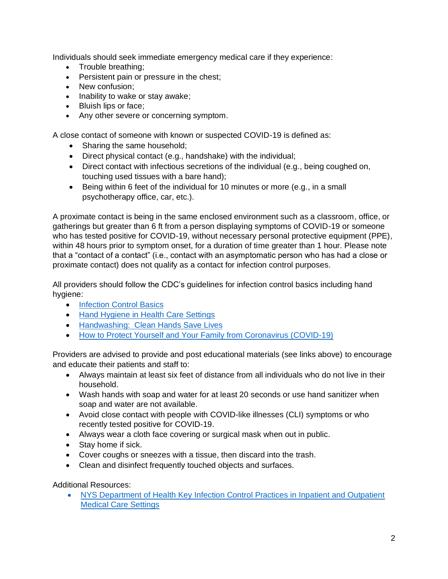Individuals should seek immediate emergency medical care if they experience:

- Trouble breathing;
- Persistent pain or pressure in the chest;
- New confusion;
- Inability to wake or stay awake;
- Bluish lips or face;
- Any other severe or concerning symptom.

A close contact of someone with known or suspected COVID-19 is defined as:

- Sharing the same household;
- Direct physical contact (e.g., handshake) with the individual;
- Direct contact with infectious secretions of the individual (e.g., being coughed on, touching used tissues with a bare hand);
- Being within 6 feet of the individual for 10 minutes or more (e.g., in a small psychotherapy office, car, etc.).

A proximate contact is being in the same enclosed environment such as a classroom, office, or gatherings but greater than 6 ft from a person displaying symptoms of COVID-19 or someone who has tested positive for COVID-19, without necessary personal protective equipment (PPE), within 48 hours prior to symptom onset, for a duration of time greater than 1 hour. Please note that a "contact of a contact" (i.e., contact with an asymptomatic person who has had a close or proximate contact) does not qualify as a contact for infection control purposes.

All providers should follow the CDC's guidelines for infection control basics including hand hygiene:

- [Infection Control Basics](https://www.cdc.gov/infectioncontrol/basics/index.html)
- [Hand Hygiene in Health Care Settings](https://www.cdc.gov/handhygiene/)
- Handwashing: [Clean Hands Save Lives](https://www.cdc.gov/handwashing/index.html)
- [How to Protect Yourself and Your Family from Coronavirus \(COVID-19\)](https://coronavirus.health.ny.gov/protect-yourself-and-your-family-coronavirus-covid-19)

Providers are advised to provide and post educational materials (see links above) to encourage and educate their patients and staff to:

- Always maintain at least six feet of distance from all individuals who do not live in their household.
- Wash hands with soap and water for at least 20 seconds or use hand sanitizer when soap and water are not available.
- Avoid close contact with people with COVID-like illnesses (CLI) symptoms or who recently tested positive for COVID-19.
- Always wear a cloth face covering or surgical mask when out in public.
- Stay home if sick.
- Cover coughs or sneezes with a tissue, then discard into the trash.
- Clean and disinfect frequently touched objects and surfaces.

Additional Resources:

• [NYS Department of Health Key Infection Control Practices in Inpatient and Outpatient](https://www.health.ny.gov/professionals/diseases/reporting/communicable/infection/key_infection_control_practices.htm)  [Medical Care Settings](https://www.health.ny.gov/professionals/diseases/reporting/communicable/infection/key_infection_control_practices.htm)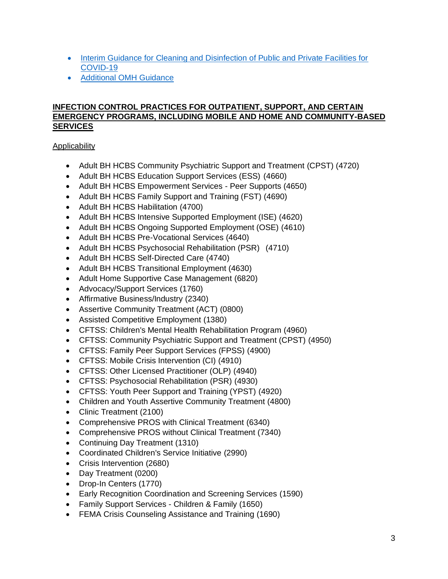- [Interim Guidance for Cleaning and Disinfection of Public and Private Facilities for](https://coronavirus.health.ny.gov/system/files/documents/2020/03/cleaning_guidance_general_building.pdf)  [COVID-19](https://coronavirus.health.ny.gov/system/files/documents/2020/03/cleaning_guidance_general_building.pdf)
- [Additional OMH Guidance](https://omh.ny.gov/omhweb/guidance/)

### **INFECTION CONTROL PRACTICES FOR OUTPATIENT, SUPPORT, AND CERTAIN EMERGENCY PROGRAMS, INCLUDING MOBILE AND HOME AND COMMUNITY-BASED SERVICES**

Applicability

- Adult BH HCBS Community Psychiatric Support and Treatment (CPST) (4720)
- Adult BH HCBS Education Support Services (ESS) (4660)
- Adult BH HCBS Empowerment Services Peer Supports (4650)
- Adult BH HCBS Family Support and Training (FST) (4690)
- Adult BH HCBS Habilitation (4700)
- Adult BH HCBS Intensive Supported Employment (ISE) (4620)
- Adult BH HCBS Ongoing Supported Employment (OSE) (4610)
- Adult BH HCBS Pre-Vocational Services (4640)
- Adult BH HCBS Psychosocial Rehabilitation (PSR) (4710)
- Adult BH HCBS Self-Directed Care (4740)
- Adult BH HCBS Transitional Employment (4630)
- Adult Home Supportive Case Management (6820)
- Advocacy/Support Services (1760)
- Affirmative Business/Industry (2340)
- Assertive Community Treatment (ACT) (0800)
- Assisted Competitive Employment (1380)
- CFTSS: Children's Mental Health Rehabilitation Program (4960)
- CFTSS: Community Psychiatric Support and Treatment (CPST) (4950)
- CFTSS: Family Peer Support Services (FPSS) (4900)
- CFTSS: Mobile Crisis Intervention (CI) (4910)
- CFTSS: Other Licensed Practitioner (OLP) (4940)
- CFTSS: Psychosocial Rehabilitation (PSR) (4930)
- CFTSS: Youth Peer Support and Training (YPST) (4920)
- Children and Youth Assertive Community Treatment (4800)
- Clinic Treatment (2100)
- Comprehensive PROS with Clinical Treatment (6340)
- Comprehensive PROS without Clinical Treatment (7340)
- Continuing Day Treatment (1310)
- Coordinated Children's Service Initiative (2990)
- Crisis Intervention (2680)
- Day Treatment (0200)
- Drop-In Centers (1770)
- Early Recognition Coordination and Screening Services (1590)
- Family Support Services Children & Family (1650)
- FEMA Crisis Counseling Assistance and Training (1690)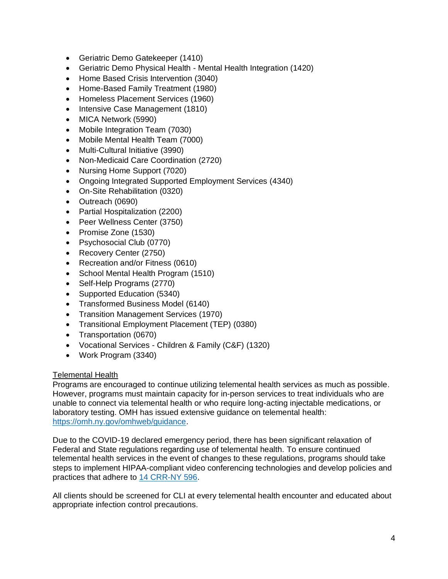- Geriatric Demo Gatekeeper (1410)
- Geriatric Demo Physical Health Mental Health Integration (1420)
- Home Based Crisis Intervention (3040)
- Home-Based Family Treatment (1980)
- Homeless Placement Services (1960)
- Intensive Case Management (1810)
- MICA Network (5990)
- Mobile Integration Team (7030)
- Mobile Mental Health Team (7000)
- Multi-Cultural Initiative (3990)
- Non-Medicaid Care Coordination (2720)
- Nursing Home Support (7020)
- Ongoing Integrated Supported Employment Services (4340)
- On-Site Rehabilitation (0320)
- Outreach (0690)
- Partial Hospitalization (2200)
- Peer Wellness Center (3750)
- Promise Zone (1530)
- Psychosocial Club (0770)
- Recovery Center (2750)
- Recreation and/or Fitness (0610)
- School Mental Health Program (1510)
- Self-Help Programs (2770)
- Supported Education (5340)
- Transformed Business Model (6140)
- Transition Management Services (1970)
- Transitional Employment Placement (TEP) (0380)
- Transportation (0670)
- Vocational Services Children & Family (C&F) (1320)
- Work Program (3340)

#### **Telemental Health**

Programs are encouraged to continue utilizing telemental health services as much as possible. However, programs must maintain capacity for in-person services to treat individuals who are unable to connect via telemental health or who require long-acting injectable medications, or laboratory testing. OMH has issued extensive guidance on telemental health: [https://omh.ny.gov/omhweb/guidance.](https://omh.ny.gov/omhweb/guidance)

Due to the COVID-19 declared emergency period, there has been significant relaxation of Federal and State regulations regarding use of telemental health. To ensure continued telemental health services in the event of changes to these regulations, programs should take steps to implement HIPAA-compliant video conferencing technologies and develop policies and practices that adhere to [14 CRR-NY 596.](https://govt.westlaw.com/nycrr/Browse/Home/NewYork/NewYorkCodesRulesandRegulations?guid=I8a9722c0745d11e698989542c6a1529e&originationContext=documenttoc&transitionType=Default&contextData=(sc.Default))

All clients should be screened for CLI at every telemental health encounter and educated about appropriate infection control precautions.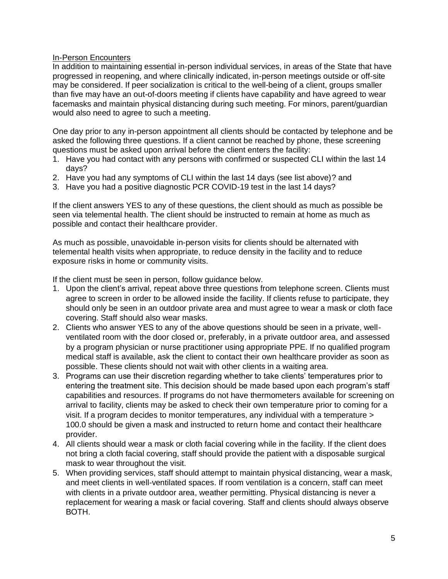#### In-Person Encounters

In addition to maintaining essential in-person individual services, in areas of the State that have progressed in reopening, and where clinically indicated, in-person meetings outside or off-site may be considered. If peer socialization is critical to the well-being of a client, groups smaller than five may have an out-of-doors meeting if clients have capability and have agreed to wear facemasks and maintain physical distancing during such meeting. For minors, parent/guardian would also need to agree to such a meeting.

One day prior to any in-person appointment all clients should be contacted by telephone and be asked the following three questions. If a client cannot be reached by phone, these screening questions must be asked upon arrival before the client enters the facility:

- 1. Have you had contact with any persons with confirmed or suspected CLI within the last 14 days?
- 2. Have you had any symptoms of CLI within the last 14 days (see list above)? and
- 3. Have you had a positive diagnostic PCR COVID-19 test in the last 14 days?

If the client answers YES to any of these questions, the client should as much as possible be seen via telemental health. The client should be instructed to remain at home as much as possible and contact their healthcare provider.

As much as possible, unavoidable in-person visits for clients should be alternated with telemental health visits when appropriate, to reduce density in the facility and to reduce exposure risks in home or community visits.

If the client must be seen in person, follow guidance below.

- 1. Upon the client's arrival, repeat above three questions from telephone screen. Clients must agree to screen in order to be allowed inside the facility. If clients refuse to participate, they should only be seen in an outdoor private area and must agree to wear a mask or cloth face covering. Staff should also wear masks.
- 2. Clients who answer YES to any of the above questions should be seen in a private, wellventilated room with the door closed or, preferably, in a private outdoor area, and assessed by a program physician or nurse practitioner using appropriate PPE. If no qualified program medical staff is available, ask the client to contact their own healthcare provider as soon as possible. These clients should not wait with other clients in a waiting area.
- 3. Programs can use their discretion regarding whether to take clients' temperatures prior to entering the treatment site. This decision should be made based upon each program's staff capabilities and resources. If programs do not have thermometers available for screening on arrival to facility, clients may be asked to check their own temperature prior to coming for a visit. If a program decides to monitor temperatures, any individual with a temperature > 100.0 should be given a mask and instructed to return home and contact their healthcare provider.
- 4. All clients should wear a mask or cloth facial covering while in the facility. If the client does not bring a cloth facial covering, staff should provide the patient with a disposable surgical mask to wear throughout the visit.
- 5. When providing services, staff should attempt to maintain physical distancing, wear a mask, and meet clients in well-ventilated spaces. If room ventilation is a concern, staff can meet with clients in a private outdoor area, weather permitting. Physical distancing is never a replacement for wearing a mask or facial covering. Staff and clients should always observe BOTH.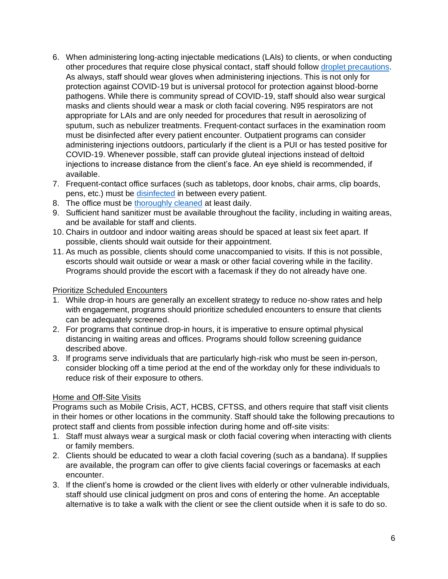- 6. When administering long-acting injectable medications (LAIs) to clients, or when conducting other procedures that require close physical contact, staff should follow [droplet precautions.](https://www.cdc.gov/infectioncontrol/basics/transmission-based-precautions.html) As always, staff should wear gloves when administering injections. This is not only for protection against COVID-19 but is universal protocol for protection against blood-borne pathogens. While there is community spread of COVID-19, staff should also wear surgical masks and clients should wear a mask or cloth facial covering. N95 respirators are not appropriate for LAIs and are only needed for procedures that result in aerosolizing of sputum, such as nebulizer treatments. Frequent-contact surfaces in the examination room must be disinfected after every patient encounter. Outpatient programs can consider administering injections outdoors, particularly if the client is a PUI or has tested positive for COVID-19. Whenever possible, staff can provide gluteal injections instead of deltoid injections to increase distance from the client's face. An eye shield is recommended, if available.
- 7. Frequent-contact office surfaces (such as tabletops, door knobs, chair arms, clip boards, pens, etc.) must be [disinfected](https://coronavirus.health.ny.gov/system/files/documents/2020/03/cleaning_guidance_general_building.pdf) in between every patient.
- 8. The office must be [thoroughly cleaned](https://coronavirus.health.ny.gov/system/files/documents/2020/03/cleaning_guidance_general_building.pdf) at least daily.
- 9. Sufficient hand sanitizer must be available throughout the facility, including in waiting areas, and be available for staff and clients.
- 10. Chairs in outdoor and indoor waiting areas should be spaced at least six feet apart. If possible, clients should wait outside for their appointment.
- 11. As much as possible, clients should come unaccompanied to visits. If this is not possible, escorts should wait outside or wear a mask or other facial covering while in the facility. Programs should provide the escort with a facemask if they do not already have one.

#### Prioritize Scheduled Encounters

- 1. While drop-in hours are generally an excellent strategy to reduce no-show rates and help with engagement, programs should prioritize scheduled encounters to ensure that clients can be adequately screened.
- 2. For programs that continue drop-in hours, it is imperative to ensure optimal physical distancing in waiting areas and offices. Programs should follow screening guidance described above.
- 3. If programs serve individuals that are particularly high-risk who must be seen in-person, consider blocking off a time period at the end of the workday only for these individuals to reduce risk of their exposure to others.

# Home and Off-Site Visits

Programs such as Mobile Crisis, ACT, HCBS, CFTSS, and others require that staff visit clients in their homes or other locations in the community. Staff should take the following precautions to protect staff and clients from possible infection during home and off-site visits:

- 1. Staff must always wear a surgical mask or cloth facial covering when interacting with clients or family members.
- 2. Clients should be educated to wear a cloth facial covering (such as a bandana). If supplies are available, the program can offer to give clients facial coverings or facemasks at each encounter.
- 3. If the client's home is crowded or the client lives with elderly or other vulnerable individuals, staff should use clinical judgment on pros and cons of entering the home. An acceptable alternative is to take a walk with the client or see the client outside when it is safe to do so.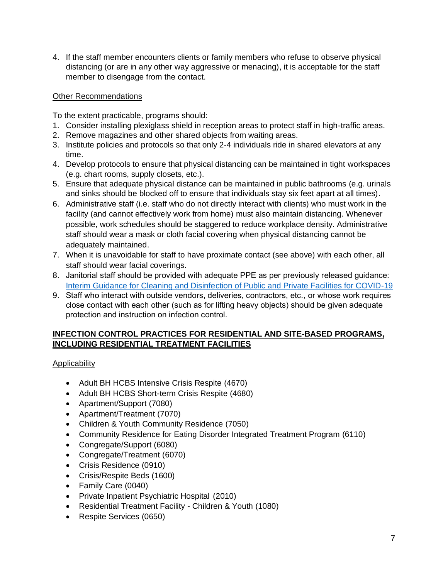4. If the staff member encounters clients or family members who refuse to observe physical distancing (or are in any other way aggressive or menacing), it is acceptable for the staff member to disengage from the contact.

### Other Recommendations

To the extent practicable, programs should:

- 1. Consider installing plexiglass shield in reception areas to protect staff in high-traffic areas.
- 2. Remove magazines and other shared objects from waiting areas.
- 3. Institute policies and protocols so that only 2-4 individuals ride in shared elevators at any time.
- 4. Develop protocols to ensure that physical distancing can be maintained in tight workspaces (e.g. chart rooms, supply closets, etc.).
- 5. Ensure that adequate physical distance can be maintained in public bathrooms (e.g. urinals and sinks should be blocked off to ensure that individuals stay six feet apart at all times).
- 6. Administrative staff (i.e. staff who do not directly interact with clients) who must work in the facility (and cannot effectively work from home) must also maintain distancing. Whenever possible, work schedules should be staggered to reduce workplace density. Administrative staff should wear a mask or cloth facial covering when physical distancing cannot be adequately maintained.
- 7. When it is unavoidable for staff to have proximate contact (see above) with each other, all staff should wear facial coverings.
- 8. Janitorial staff should be provided with adequate PPE as per previously released guidance: [Interim Guidance for Cleaning and Disinfection of Public and Private Facilities for COVID-19](https://coronavirus.health.ny.gov/system/files/documents/2020/03/cleaning_guidance_general_building.pdf)
- 9. Staff who interact with outside vendors, deliveries, contractors, etc., or whose work requires close contact with each other (such as for lifting heavy objects) should be given adequate protection and instruction on infection control.

# **INFECTION CONTROL PRACTICES FOR RESIDENTIAL AND SITE-BASED PROGRAMS, INCLUDING RESIDENTIAL TREATMENT FACILITIES**

Applicability

- Adult BH HCBS Intensive Crisis Respite (4670)
- Adult BH HCBS Short-term Crisis Respite (4680)
- Apartment/Support (7080)
- Apartment/Treatment (7070)
- Children & Youth Community Residence (7050)
- Community Residence for Eating Disorder Integrated Treatment Program (6110)
- Congregate/Support (6080)
- Congregate/Treatment (6070)
- Crisis Residence (0910)
- Crisis/Respite Beds (1600)
- Family Care (0040)
- Private Inpatient Psychiatric Hospital (2010)
- Residential Treatment Facility Children & Youth (1080)
- Respite Services (0650)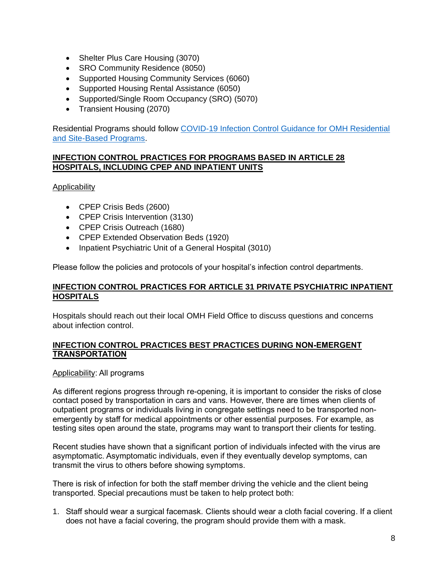- Shelter Plus Care Housing (3070)
- SRO Community Residence (8050)
- Supported Housing Community Services (6060)
- Supported Housing Rental Assistance (6050)
- Supported/Single Room Occupancy (SRO) (5070)
- Transient Housing (2070)

Residential Programs should follow [COVID-19 Infection Control Guidance for OMH Residential](https://omh.ny.gov/omhweb/guidance/covid-19-infection-control-guidance-residential-programs.pdf)  [and Site-Based Programs.](https://omh.ny.gov/omhweb/guidance/covid-19-infection-control-guidance-residential-programs.pdf)

### **INFECTION CONTROL PRACTICES FOR PROGRAMS BASED IN ARTICLE 28 HOSPITALS, INCLUDING CPEP AND INPATIENT UNITS**

Applicability

- CPEP Crisis Beds (2600)
- CPEP Crisis Intervention (3130)
- CPEP Crisis Outreach (1680)
- CPEP Extended Observation Beds (1920)
- Inpatient Psychiatric Unit of a General Hospital (3010)

Please follow the policies and protocols of your hospital's infection control departments.

# **INFECTION CONTROL PRACTICES FOR ARTICLE 31 PRIVATE PSYCHIATRIC INPATIENT HOSPITALS**

Hospitals should reach out their local OMH Field Office to discuss questions and concerns about infection control.

#### **INFECTION CONTROL PRACTICES BEST PRACTICES DURING NON-EMERGENT TRANSPORTATION**

Applicability: All programs

As different regions progress through re-opening, it is important to consider the risks of close contact posed by transportation in cars and vans. However, there are times when clients of outpatient programs or individuals living in congregate settings need to be transported nonemergently by staff for medical appointments or other essential purposes. For example, as testing sites open around the state, programs may want to transport their clients for testing.

Recent studies have shown that a significant portion of individuals infected with the virus are asymptomatic. Asymptomatic individuals, even if they eventually develop symptoms, can transmit the virus to others before showing symptoms.

There is risk of infection for both the staff member driving the vehicle and the client being transported. Special precautions must be taken to help protect both:

1. Staff should wear a surgical facemask. Clients should wear a cloth facial covering. If a client does not have a facial covering, the program should provide them with a mask.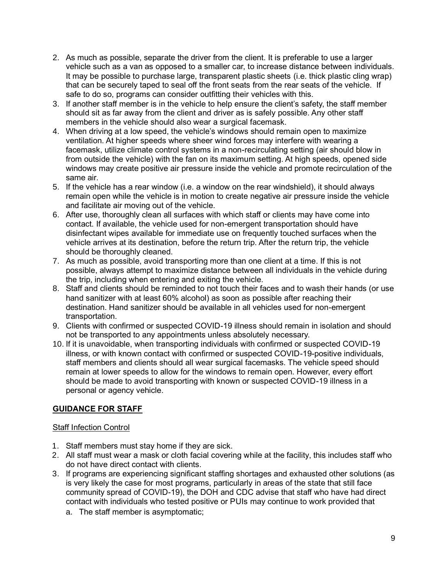- 2. As much as possible, separate the driver from the client. It is preferable to use a larger vehicle such as a van as opposed to a smaller car, to increase distance between individuals. It may be possible to purchase large, transparent plastic sheets (i.e. thick plastic cling wrap) that can be securely taped to seal off the front seats from the rear seats of the vehicle. If safe to do so, programs can consider outfitting their vehicles with this.
- 3. If another staff member is in the vehicle to help ensure the client's safety, the staff member should sit as far away from the client and driver as is safely possible. Any other staff members in the vehicle should also wear a surgical facemask.
- 4. When driving at a low speed, the vehicle's windows should remain open to maximize ventilation. At higher speeds where sheer wind forces may interfere with wearing a facemask, utilize climate control systems in a non-recirculating setting (air should blow in from outside the vehicle) with the fan on its maximum setting. At high speeds, opened side windows may create positive air pressure inside the vehicle and promote recirculation of the same air.
- 5. If the vehicle has a rear window (i.e. a window on the rear windshield), it should always remain open while the vehicle is in motion to create negative air pressure inside the vehicle and facilitate air moving out of the vehicle.
- 6. After use, thoroughly clean all surfaces with which staff or clients may have come into contact. If available, the vehicle used for non-emergent transportation should have disinfectant wipes available for immediate use on frequently touched surfaces when the vehicle arrives at its destination, before the return trip. After the return trip, the vehicle should be thoroughly cleaned.
- 7. As much as possible, avoid transporting more than one client at a time. If this is not possible, always attempt to maximize distance between all individuals in the vehicle during the trip, including when entering and exiting the vehicle.
- 8. Staff and clients should be reminded to not touch their faces and to wash their hands (or use hand sanitizer with at least 60% alcohol) as soon as possible after reaching their destination. Hand sanitizer should be available in all vehicles used for non-emergent transportation.
- 9. Clients with confirmed or suspected COVID-19 illness should remain in isolation and should not be transported to any appointments unless absolutely necessary.
- 10. If it is unavoidable, when transporting individuals with confirmed or suspected COVID-19 illness, or with known contact with confirmed or suspected COVID-19-positive individuals, staff members and clients should all wear surgical facemasks. The vehicle speed should remain at lower speeds to allow for the windows to remain open. However, every effort should be made to avoid transporting with known or suspected COVID-19 illness in a personal or agency vehicle.

# **GUIDANCE FOR STAFF**

#### Staff Infection Control

- 1. Staff members must stay home if they are sick.
- 2. All staff must wear a mask or cloth facial covering while at the facility, this includes staff who do not have direct contact with clients.
- 3. If programs are experiencing significant staffing shortages and exhausted other solutions (as is very likely the case for most programs, particularly in areas of the state that still face community spread of COVID-19), the DOH and CDC advise that staff who have had direct contact with individuals who tested positive or PUIs may continue to work provided that
	- a. The staff member is asymptomatic;